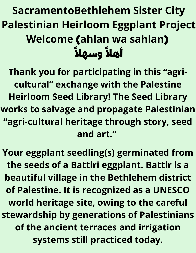# **SacramentoBethlehem Sister City Palestinian Heirloom Eggplant Project Welcome** (**ahlan wa sahlan**) اهلآ وسهلآ

**Thank you for participating in this "agricultural" exchange with the Palestine Heirloom Seed Library! The Seed Library works to salvage and propagate Palestinian "agri-cultural heritage through story, seed and art."**

**Your eggplant seedling(s) germinated from the seeds of a Battiri eggplant. Battir is a beautiful village in the Bethlehem district of Palestine. It is recognized as a UNESCO world heritage site, owing to the careful stewardship by generations of Palestinians of the ancient terraces and irrigation systems still practiced today.**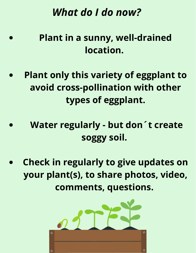## *What do I do now?*

### **Plant in a sunny, well-drained location.**

- **Plant only this variety of eggplant to avoid cross-pollination with other types of eggplant.**
- **Water regularly - but don´t create soggy soil.**
- **Check in regularly to give updates on your plant(s), to share photos, video, comments, questions.**

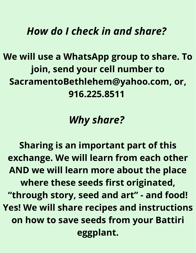#### *How do I check in and share?*

**We will use a WhatsApp group to share. To join, send your cell number to SacramentoBethlehem@yahoo.com, or, 916.225.8511**

*Why share?*

**Sharing is an important part of this exchange. We will learn from each other AND we will learn more about the place where these seeds first originated, "through story, seed and art" - and food! Yes! We will share recipes and instructions on how to save seeds from your Battiri eggplant.**